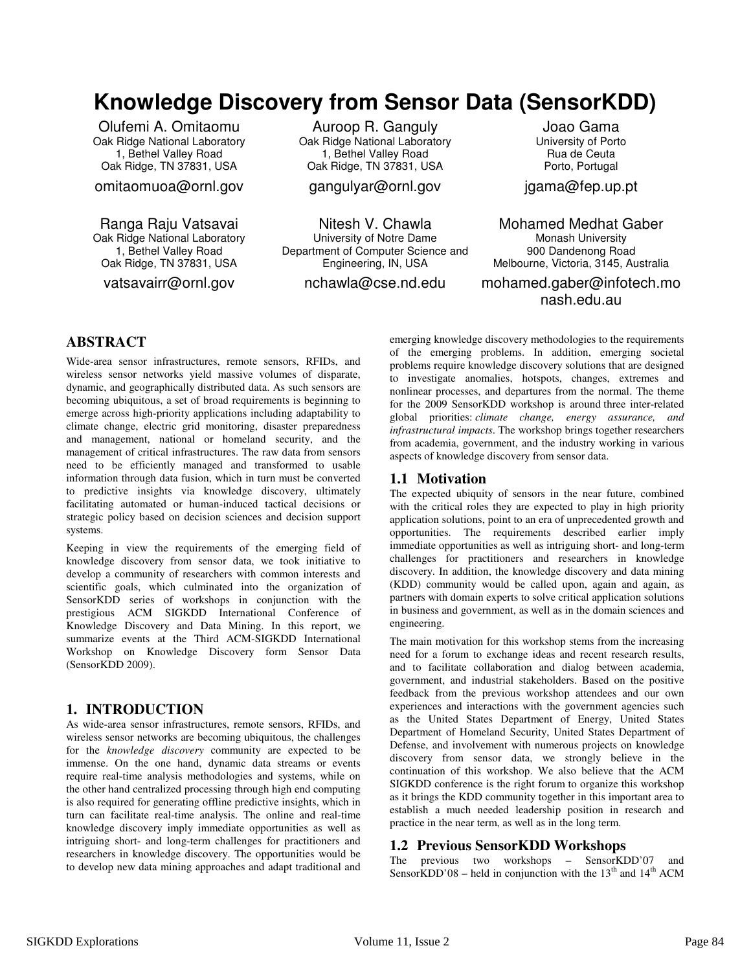# **Knowledge Discovery from Sensor Data (SensorKDD)**

Olufemi A. Omitaomu Oak Ridge National Laboratory 1, Bethel Valley Road Oak Ridge, TN 37831, USA

omitaomuoa@ornl.gov

Ranga Raju Vatsavai Oak Ridge National Laboratory 1, Bethel Valley Road Oak Ridge, TN 37831, USA

vatsavairr@ornl.gov

Auroop R. Ganguly Oak Ridge National Laboratory 1, Bethel Valley Road Oak Ridge, TN 37831, USA

gangulyar@ornl.gov

Nitesh V. Chawla University of Notre Dame Department of Computer Science and Engineering, IN, USA

nchawla@cse.nd.edu

Joao Gama University of Porto Rua de Ceuta Porto, Portugal

jgama@fep.up.pt

Mohamed Medhat Gaber Monash University 900 Dandenong Road Melbourne, Victoria, 3145, Australia

mohamed.gaber@infotech.mo nash.edu.au

## **ABSTRACT**

Wide-area sensor infrastructures, remote sensors, RFIDs, and wireless sensor networks yield massive volumes of disparate, dynamic, and geographically distributed data. As such sensors are becoming ubiquitous, a set of broad requirements is beginning to emerge across high-priority applications including adaptability to climate change, electric grid monitoring, disaster preparedness and management, national or homeland security, and the management of critical infrastructures. The raw data from sensors need to be efficiently managed and transformed to usable information through data fusion, which in turn must be converted to predictive insights via knowledge discovery, ultimately facilitating automated or human-induced tactical decisions or strategic policy based on decision sciences and decision support systems.

Keeping in view the requirements of the emerging field of knowledge discovery from sensor data, we took initiative to develop a community of researchers with common interests and scientific goals, which culminated into the organization of SensorKDD series of workshops in conjunction with the prestigious ACM SIGKDD International Conference of Knowledge Discovery and Data Mining. In this report, we summarize events at the Third ACM-SIGKDD International Workshop on Knowledge Discovery form Sensor Data (SensorKDD 2009).

#### **1. INTRODUCTION**

As wide-area sensor infrastructures, remote sensors, RFIDs, and wireless sensor networks are becoming ubiquitous, the challenges for the *knowledge discovery* community are expected to be immense. On the one hand, dynamic data streams or events require real-time analysis methodologies and systems, while on the other hand centralized processing through high end computing is also required for generating offline predictive insights, which in turn can facilitate real-time analysis. The online and real-time knowledge discovery imply immediate opportunities as well as intriguing short- and long-term challenges for practitioners and researchers in knowledge discovery. The opportunities would be to develop new data mining approaches and adapt traditional and emerging knowledge discovery methodologies to the requirements of the emerging problems. In addition, emerging societal problems require knowledge discovery solutions that are designed to investigate anomalies, hotspots, changes, extremes and nonlinear processes, and departures from the normal. The theme for the 2009 SensorKDD workshop is around three inter-related global priorities: *climate change, energy assurance, and infrastructural impacts*. The workshop brings together researchers from academia, government, and the industry working in various aspects of knowledge discovery from sensor data.

## **1.1 Motivation**

The expected ubiquity of sensors in the near future, combined with the critical roles they are expected to play in high priority application solutions, point to an era of unprecedented growth and opportunities. The requirements described earlier imply immediate opportunities as well as intriguing short- and long-term challenges for practitioners and researchers in knowledge discovery. In addition, the knowledge discovery and data mining (KDD) community would be called upon, again and again, as partners with domain experts to solve critical application solutions in business and government, as well as in the domain sciences and engineering.

The main motivation for this workshop stems from the increasing need for a forum to exchange ideas and recent research results, and to facilitate collaboration and dialog between academia, government, and industrial stakeholders. Based on the positive feedback from the previous workshop attendees and our own experiences and interactions with the government agencies such as the United States Department of Energy, United States Department of Homeland Security, United States Department of Defense, and involvement with numerous projects on knowledge discovery from sensor data, we strongly believe in the continuation of this workshop. We also believe that the ACM SIGKDD conference is the right forum to organize this workshop as it brings the KDD community together in this important area to establish a much needed leadership position in research and practice in the near term, as well as in the long term.

#### **1.2 Previous SensorKDD Workshops**

The previous two workshops – SensorKDD'07 and SensorKDD'08 – held in conjunction with the  $13<sup>th</sup>$  and  $14<sup>th</sup>$  ACM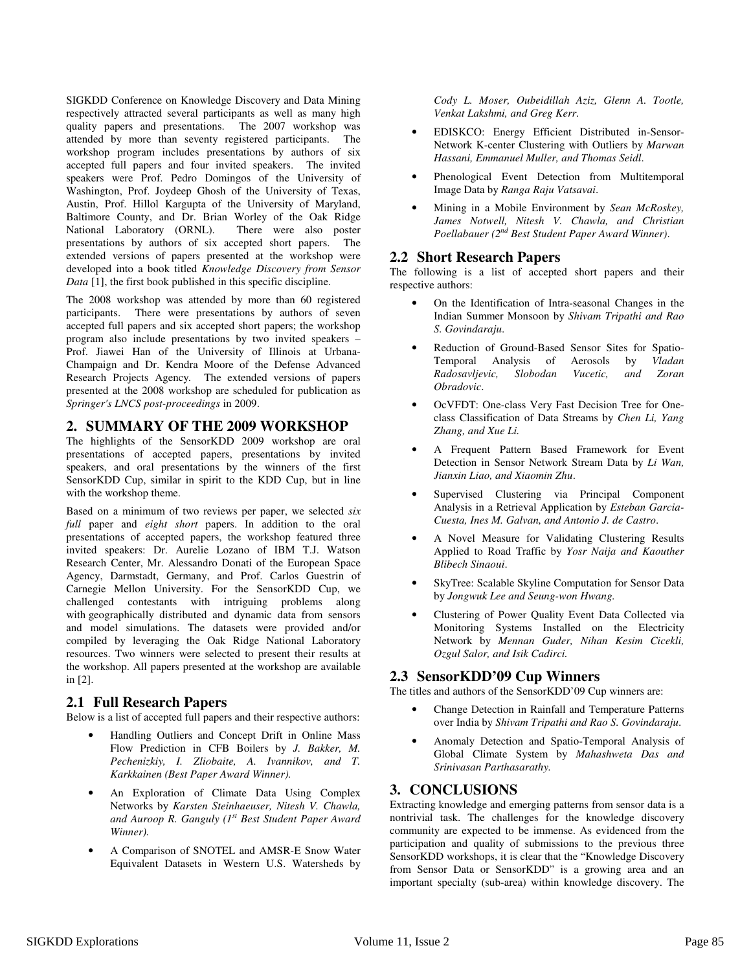SIGKDD Conference on Knowledge Discovery and Data Mining respectively attracted several participants as well as many high quality papers and presentations. The 2007 workshop was attended by more than seventy registered participants. The workshop program includes presentations by authors of six accepted full papers and four invited speakers. The invited speakers were Prof. Pedro Domingos of the University of Washington, Prof. Joydeep Ghosh of the University of Texas, Austin, Prof. Hillol Kargupta of the University of Maryland, Baltimore County, and Dr. Brian Worley of the Oak Ridge National Laboratory (ORNL). There were also poster presentations by authors of six accepted short papers. The extended versions of papers presented at the workshop were developed into a book titled *Knowledge Discovery from Sensor Data* [1], the first book published in this specific discipline.

The 2008 workshop was attended by more than 60 registered participants. There were presentations by authors of seven accepted full papers and six accepted short papers; the workshop program also include presentations by two invited speakers – Prof. Jiawei Han of the University of Illinois at Urbana-Champaign and Dr. Kendra Moore of the Defense Advanced Research Projects Agency*.* The extended versions of papers presented at the 2008 workshop are scheduled for publication as *Springer's LNCS post-proceedings* in 2009.

#### **2. SUMMARY OF THE 2009 WORKSHOP**

The highlights of the SensorKDD 2009 workshop are oral presentations of accepted papers, presentations by invited speakers, and oral presentations by the winners of the first SensorKDD Cup, similar in spirit to the KDD Cup, but in line with the workshop theme.

Based on a minimum of two reviews per paper, we selected *six full* paper and *eight short* papers. In addition to the oral presentations of accepted papers, the workshop featured three invited speakers: Dr. Aurelie Lozano of IBM T.J. Watson Research Center, Mr. Alessandro Donati of the European Space Agency, Darmstadt, Germany, and Prof. Carlos Guestrin of Carnegie Mellon University. For the SensorKDD Cup, we challenged contestants with intriguing problems along with geographically distributed and dynamic data from sensors and model simulations. The datasets were provided and/or compiled by leveraging the Oak Ridge National Laboratory resources. Two winners were selected to present their results at the workshop. All papers presented at the workshop are available in [2].

## **2.1 Full Research Papers**

Below is a list of accepted full papers and their respective authors:

- Handling Outliers and Concept Drift in Online Mass Flow Prediction in CFB Boilers by *J. Bakker, M. Pechenizkiy, I. Zliobaite, A. Ivannikov, and T. Karkkainen (Best Paper Award Winner).*
- An Exploration of Climate Data Using Complex Networks by *Karsten Steinhaeuser, Nitesh V. Chawla, and Auroop R. Ganguly (1st Best Student Paper Award Winner).*
- A Comparison of SNOTEL and AMSR-E Snow Water Equivalent Datasets in Western U.S. Watersheds by

*Cody L. Moser, Oubeidillah Aziz, Glenn A. Tootle, Venkat Lakshmi, and Greg Kerr*.

- EDISKCO: Energy Efficient Distributed in-Sensor-Network K-center Clustering with Outliers by *Marwan Hassani, Emmanuel Muller, and Thomas Seidl*.
- Phenological Event Detection from Multitemporal Image Data by *Ranga Raju Vatsavai*.
- Mining in a Mobile Environment by *Sean McRoskey, James Notwell, Nitesh V. Chawla, and Christian Poellabauer (2nd Best Student Paper Award Winner)*.

#### **2.2 Short Research Papers**

The following is a list of accepted short papers and their respective authors:

- On the Identification of Intra-seasonal Changes in the Indian Summer Monsoon by *Shivam Tripathi and Rao S. Govindaraju*.
- Reduction of Ground-Based Sensor Sites for Spatio-Temporal Analysis of Aerosols by *Vladan Radosavljevic, Slobodan Vucetic, and Zoran Obradovic*.
- OcVFDT: One-class Very Fast Decision Tree for Oneclass Classification of Data Streams by *Chen Li, Yang Zhang, and Xue Li.*
- A Frequent Pattern Based Framework for Event Detection in Sensor Network Stream Data by *Li Wan, Jianxin Liao, and Xiaomin Zhu*.
- Supervised Clustering via Principal Component Analysis in a Retrieval Application by *Esteban Garcia-Cuesta, Ines M. Galvan, and Antonio J. de Castro*.
- A Novel Measure for Validating Clustering Results Applied to Road Traffic by *Yosr Naija and Kaouther Blibech Sinaoui*.
- SkyTree: Scalable Skyline Computation for Sensor Data by *Jongwuk Lee and Seung-won Hwang.*
- Clustering of Power Quality Event Data Collected via Monitoring Systems Installed on the Electricity Network by *Mennan Guder, Nihan Kesim Cicekli, Ozgul Salor, and Isik Cadirci.*

## **2.3 SensorKDD'09 Cup Winners**

The titles and authors of the SensorKDD'09 Cup winners are:

- Change Detection in Rainfall and Temperature Patterns over India by *Shivam Tripathi and Rao S. Govindaraju*.
- Anomaly Detection and Spatio-Temporal Analysis of Global Climate System by *Mahashweta Das and Srinivasan Parthasarathy.*

## **3. CONCLUSIONS**

Extracting knowledge and emerging patterns from sensor data is a nontrivial task. The challenges for the knowledge discovery community are expected to be immense. As evidenced from the participation and quality of submissions to the previous three SensorKDD workshops, it is clear that the "Knowledge Discovery from Sensor Data or SensorKDD" is a growing area and an important specialty (sub-area) within knowledge discovery. The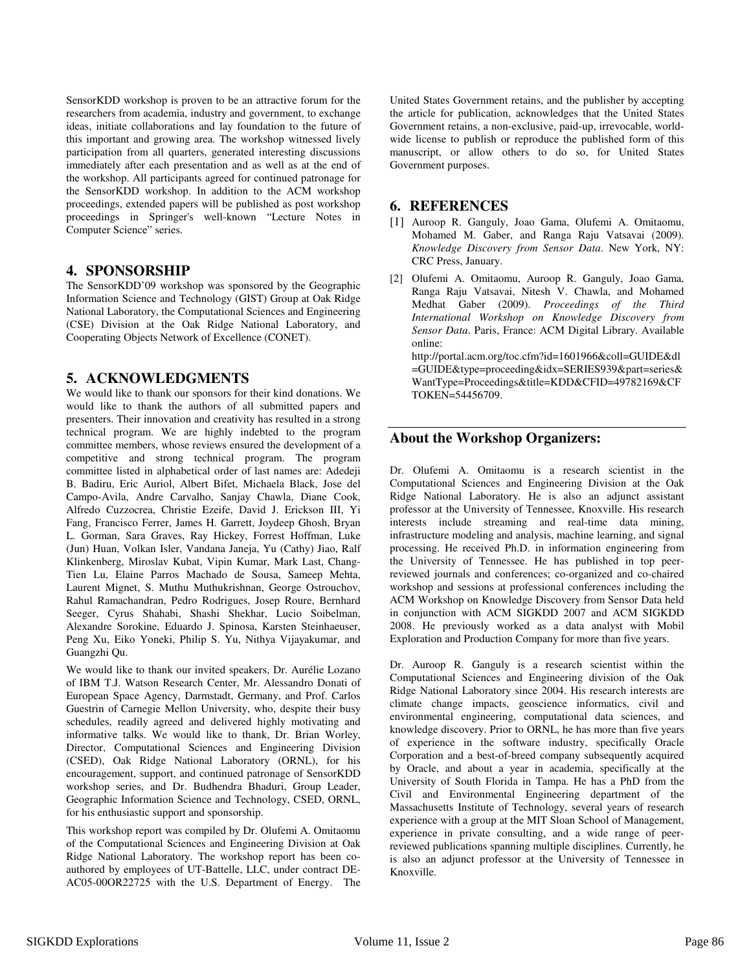SensorKDD workshop is proven to be an attractive forum for the researchers from academia, industry and government, to exchange ideas, initiate collaborations and lay foundation to the future of this important and growing area. The workshop witnessed lively participation from all quarters, generated interesting discussions immediately after each presentation and as well as at the end of the workshop. All participants agreed for continued patronage for the SensorKDD workshop. In addition to the ACM workshop proceedings, extended papers will be published as post workshop proceedings in Springer's well-known "Lecture Notes in Computer Science" series.

#### **4. SPONSORSHIP**

The SensorKDD'09 workshop was sponsored by the Geographic Information Science and Technology (GIST) Group at Oak Ridge National Laboratory, the Computational Sciences and Engineering (CSE) Division at the Oak Ridge National Laboratory, and Cooperating Objects Network of Excellence (CONET).

#### **5. ACKNOWLEDGMENTS**

We would like to thank our sponsors for their kind donations. We would like to thank the authors of all submitted papers and presenters. Their innovation and creativity has resulted in a strong technical program. We are highly indebted to the program committee members, whose reviews ensured the development of a competitive and strong technical program. The program committee listed in alphabetical order of last names are: Adedeji B. Badiru, Eric Auriol, Albert Bifet, Michaela Black, Jose del Campo-Avila, Andre Carvalho, Sanjay Chawla, Diane Cook, Alfredo Cuzzocrea, Christie Ezeife, David J. Erickson III, Yi Fang, Francisco Ferrer, James H. Garrett, Joydeep Ghosh, Bryan L. Gorman, Sara Graves, Ray Hickey, Forrest Hoffman, Luke (Jun) Huan, Volkan Isler, Vandana Janeja, Yu (Cathy) Jiao, Ralf Klinkenberg, Miroslav Kubat, Vipin Kumar, Mark Last, Chang-Tien Lu, Elaine Parros Machado de Sousa, Sameep Mehta, Laurent Mignet, S. Muthu Muthukrishnan, George Ostrouchov, Rahul Ramachandran, Pedro Rodrigues, Josep Roure, Bernhard Seeger, Cyrus Shahabi, Shashi Shekhar, Lucio Soibelman, Alexandre Sorokine, Eduardo J. Spinosa, Karsten Steinhaeuser, Peng Xu, Eiko Yoneki, Philip S. Yu, Nithya Vijayakumar, and Guangzhi Qu.

We would like to thank our invited speakers, Dr. Aurélie Lozano of IBM T.J. Watson Research Center, Mr. Alessandro Donati of European Space Agency, Darmstadt, Germany, and Prof. Carlos Guestrin of Carnegie Mellon University, who, despite their busy schedules, readily agreed and delivered highly motivating and informative talks. We would like to thank, Dr. Brian Worley, Director, Computational Sciences and Engineering Division (CSED), Oak Ridge National Laboratory (ORNL), for his encouragement, support, and continued patronage of SensorKDD workshop series, and Dr. Budhendra Bhaduri, Group Leader, Geographic Information Science and Technology, CSED, ORNL, for his enthusiastic support and sponsorship.

This workshop report was compiled by Dr. Olufemi A. Omitaomu of the Computational Sciences and Engineering Division at Oak Ridge National Laboratory. The workshop report has been coauthored by employees of UT-Battelle, LLC, under contract DE-AC05-00OR22725 with the U.S. Department of Energy. The

United States Government retains, and the publisher by accepting the article for publication, acknowledges that the United States Government retains, a non-exclusive, paid-up, irrevocable, worldwide license to publish or reproduce the published form of this manuscript, or allow others to do so, for United States Government purposes.

#### **6. REFERENCES**

- [1] Auroop R. Ganguly, Joao Gama, Olufemi A. Omitaomu, Mohamed M. Gaber, and Ranga Raju Vatsavai (2009). *Knowledge Discovery from Sensor Data*. New York, NY: CRC Press, January.
- [2] Olufemi A. Omitaomu, Auroop R. Ganguly, Joao Gama, Ranga Raju Vatsavai, Nitesh V. Chawla, and Mohamed Medhat Gaber (2009). *Proceedings of the Third International Workshop on Knowledge Discovery from Sensor Data*. Paris, France: ACM Digital Library. Available online: http://portal.acm.org/toc.cfm?id=1601966&coll=GUIDE&dl =GUIDE&type=proceeding&idx=SERIES939&part=series&

WantType=Proceedings&title=KDD&CFID=49782169&CF TOKEN=54456709.

### **About the Workshop Organizers:**

Dr. Olufemi A. Omitaomu is a research scientist in the Computational Sciences and Engineering Division at the Oak Ridge National Laboratory. He is also an adjunct assistant professor at the University of Tennessee, Knoxville. His research interests include streaming and real-time data mining, infrastructure modeling and analysis, machine learning, and signal processing. He received Ph.D. in information engineering from the University of Tennessee. He has published in top peerreviewed journals and conferences; co-organized and co-chaired workshop and sessions at professional conferences including the ACM Workshop on Knowledge Discovery from Sensor Data held in conjunction with ACM SIGKDD 2007 and ACM SIGKDD 2008. He previously worked as a data analyst with Mobil Exploration and Production Company for more than five years.

Dr. Auroop R. Ganguly is a research scientist within the Computational Sciences and Engineering division of the Oak Ridge National Laboratory since 2004. His research interests are climate change impacts, geoscience informatics, civil and environmental engineering, computational data sciences, and knowledge discovery. Prior to ORNL, he has more than five years of experience in the software industry, specifically Oracle Corporation and a best-of-breed company subsequently acquired by Oracle, and about a year in academia, specifically at the University of South Florida in Tampa. He has a PhD from the Civil and Environmental Engineering department of the Massachusetts Institute of Technology, several years of research experience with a group at the MIT Sloan School of Management, experience in private consulting, and a wide range of peerreviewed publications spanning multiple disciplines. Currently, he is also an adjunct professor at the University of Tennessee in Knoxville.